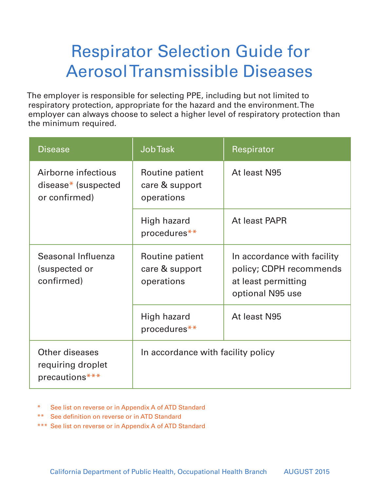## Respirator Selection Guide for Aerosol Transmissible Diseases

The employer is responsible for selecting PPE, including but not limited to respiratory protection, appropriate for the hazard and the environment. The employer can always choose to select a higher level of respiratory protection than the minimum required.

| <b>Disease</b>                                                 | <b>JobTask</b>                                  | Respirator                                                                                        |
|----------------------------------------------------------------|-------------------------------------------------|---------------------------------------------------------------------------------------------------|
| Airborne infectious<br>$disease^*$ (suspected<br>or confirmed) | Routine patient<br>care & support<br>operations | At least N95                                                                                      |
|                                                                | High hazard<br>procedures**                     | At least PAPR                                                                                     |
| Seasonal Influenza<br>(suspected or<br>confirmed)              | Routine patient<br>care & support<br>operations | In accordance with facility<br>policy; CDPH recommends<br>at least permitting<br>optional N95 use |
|                                                                | High hazard<br>procedures**                     | At least N95                                                                                      |
| <b>Other diseases</b><br>requiring droplet<br>precautions***   | In accordance with facility policy              |                                                                                                   |

- \* See list on reverse or in Appendix A of ATD Standard
- \*\* See definition on reverse or in ATD Standard
- \*\*\* See list on reverse or in Appendix A of ATD Standard